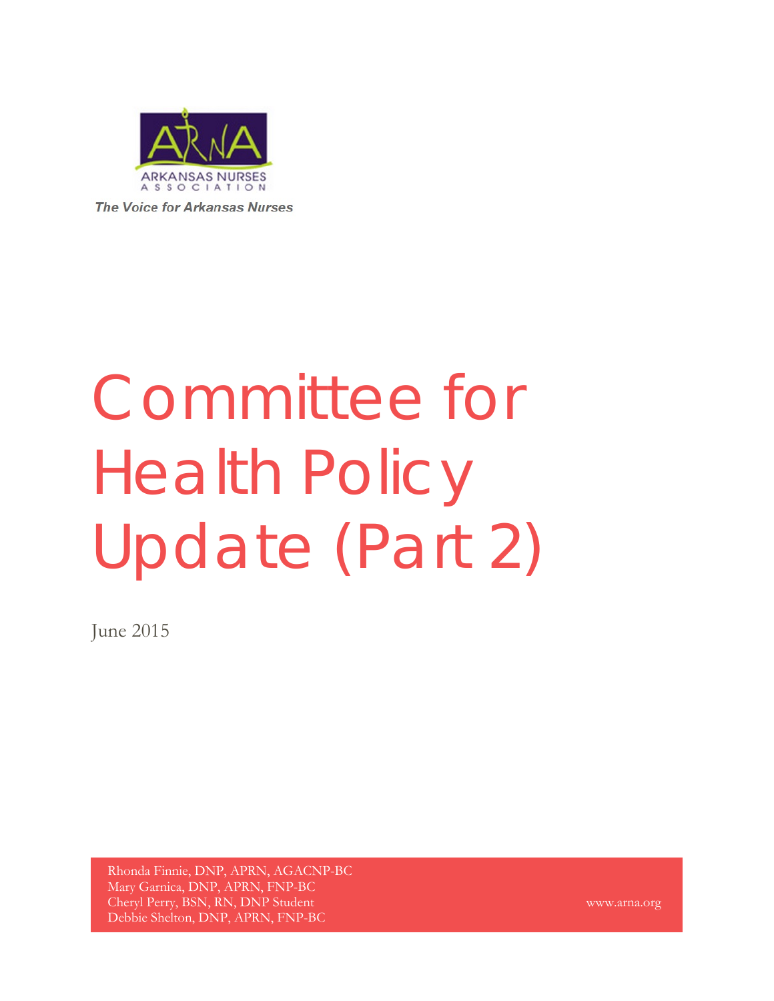

**The Voice for Arkansas Nurses** 

# Committee for Health Policy Update (Part 2)

June 2015

Rhonda Finnie, DNP, APRN, AGACNP-BC Mary Garnica, DNP, APRN, FNP-BC Cheryl Perry, BSN, RN, DNP Student Debbie Shelton, DNP, APRN, FNP-BC

www.arna.org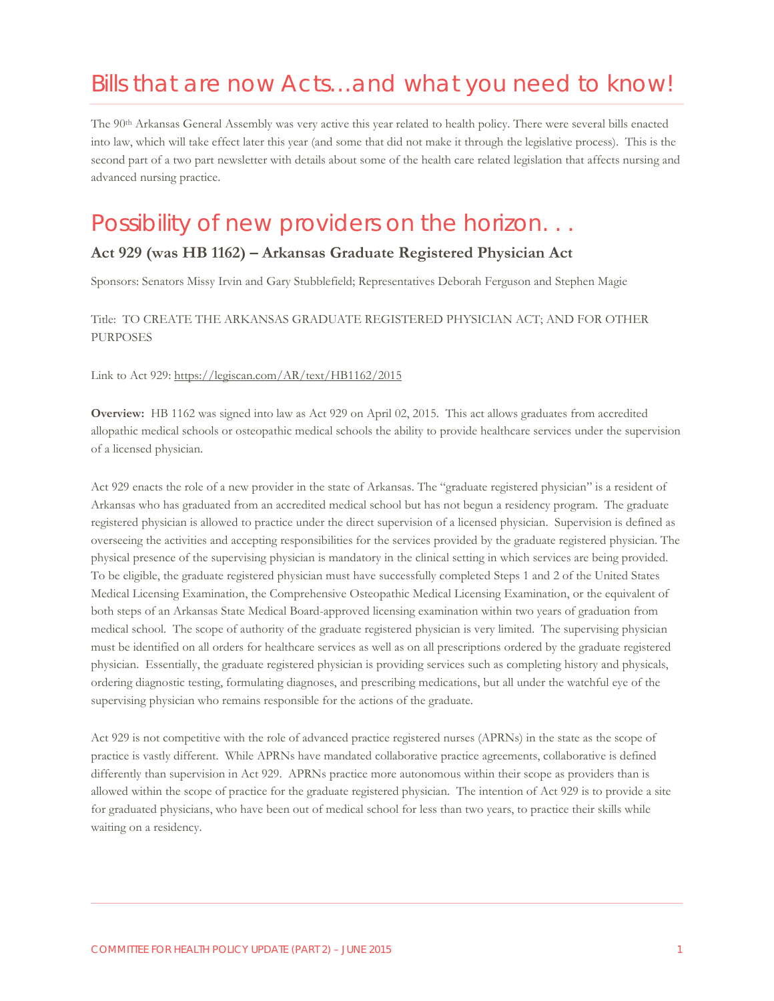# Bills that are now Acts…and what you need to know!

The 90th Arkansas General Assembly was very active this year related to health policy. There were several bills enacted into law, which will take effect later this year (and some that did not make it through the legislative process). This is the second part of a two part newsletter with details about some of the health care related legislation that affects nursing and advanced nursing practice.

### Possibility of new providers on the horizon. . .

#### **Act 929 (was HB 1162) – Arkansas Graduate Registered Physician Act**

Sponsors: Senators Missy Irvin and Gary Stubblefield; Representatives Deborah Ferguson and Stephen Magie

#### Title: TO CREATE THE ARKANSAS GRADUATE REGISTERED PHYSICIAN ACT; AND FOR OTHER **PURPOSES**

Link to Act 929:<https://legiscan.com/AR/text/HB1162/2015>

**Overview:** HB 1162 was signed into law as Act 929 on April 02, 2015. This act allows graduates from accredited allopathic medical schools or osteopathic medical schools the ability to provide healthcare services under the supervision of a licensed physician.

Act 929 enacts the role of a new provider in the state of Arkansas. The "graduate registered physician" is a resident of Arkansas who has graduated from an accredited medical school but has not begun a residency program. The graduate registered physician is allowed to practice under the direct supervision of a licensed physician. Supervision is defined as overseeing the activities and accepting responsibilities for the services provided by the graduate registered physician. The physical presence of the supervising physician is mandatory in the clinical setting in which services are being provided. To be eligible, the graduate registered physician must have successfully completed Steps 1 and 2 of the United States Medical Licensing Examination, the Comprehensive Osteopathic Medical Licensing Examination, or the equivalent of both steps of an Arkansas State Medical Board-approved licensing examination within two years of graduation from medical school. The scope of authority of the graduate registered physician is very limited. The supervising physician must be identified on all orders for healthcare services as well as on all prescriptions ordered by the graduate registered physician. Essentially, the graduate registered physician is providing services such as completing history and physicals, ordering diagnostic testing, formulating diagnoses, and prescribing medications, but all under the watchful eye of the supervising physician who remains responsible for the actions of the graduate.

Act 929 is not competitive with the role of advanced practice registered nurses (APRNs) in the state as the scope of practice is vastly different. While APRNs have mandated collaborative practice agreements, collaborative is defined differently than supervision in Act 929. APRNs practice more autonomous within their scope as providers than is allowed within the scope of practice for the graduate registered physician. The intention of Act 929 is to provide a site for graduated physicians, who have been out of medical school for less than two years, to practice their skills while waiting on a residency.